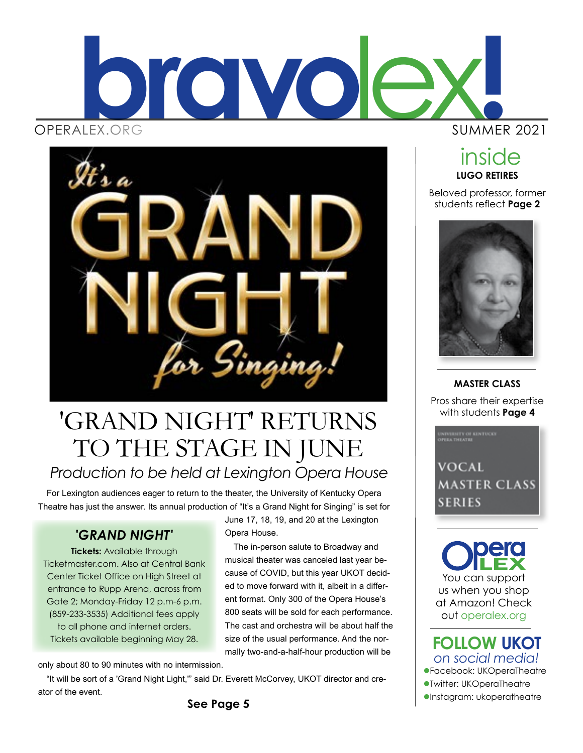



# *Production to be held at Lexington Opera House* with students **Page 4** 'GRAND NIGHT' RETURNS TO THE STAGE IN JUNE

For Lexington audiences eager to return to the theater, the University of Kentucky Opera Theatre has just the answer. Its annual production of "It's a Grand Night for Singing" is set for

### *'GRAND NIGHT'*

**Tickets:** Available through Ticketmaster.com. Also at Central Bank Center Ticket Office on High Street at entrance to Rupp Arena, across from Gate 2; Monday-Friday 12 p.m-6 p.m. (859-233-3535) Additional fees apply to all phone and internet orders. Tickets available beginning May 28.

June 17, 18, 19, and 20 at the Lexington Opera House.

The in-person salute to Broadway and musical theater was canceled last year because of COVID, but this year UKOT decided to move forward with it, albeit in a different format. Only 300 of the Opera House's 800 seats will be sold for each performance. The cast and orchestra will be about half the size of the usual performance. And the normally two-and-a-half-hour production will be

only about 80 to 90 minutes with no intermission.

"It will be sort of a 'Grand Night Light,'" said Dr. Everett McCorvey, UKOT director and creator of the event.

inside

**LUGO RETIRES** Beloved professor, former students reflect **Page 2**



**MASTER CLASS** Pros share their expertise

VOCAL MASTER CLASS SERIES

You can support us when you shop at Amazon! Check out operalex.org

lFacebook: UKOperaTheatre lTwitter: UKOperaTheatre *on social media!* **FOLLOW UKOT**

 $\bullet$ Instagram: ukoperatheatre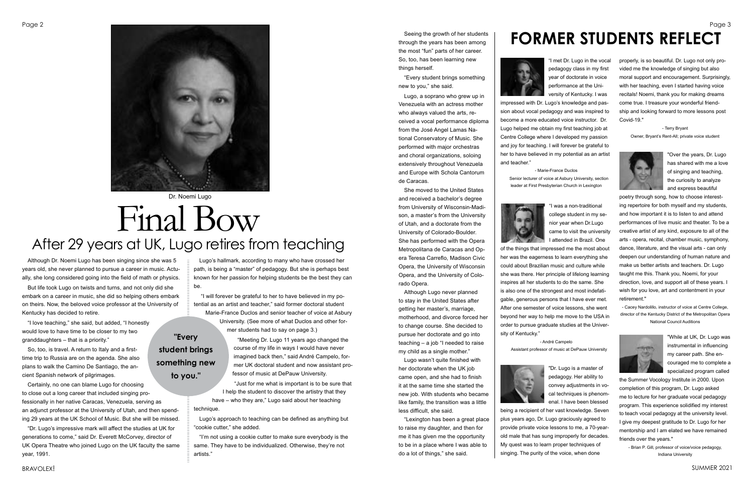Although Dr. Noemi Lugo has been singing since she was 5 years old, she never planned to pursue a career in music. Actually, she long considered going into the field of math or physics.

But life took Lugo on twists and turns, and not only did she embark on a career in music, she did so helping others embark on theirs. Now, the beloved voice professor at the University of Kentucky has decided to retire.

"I love teaching," she said, but added, "I honestly would love to have time to be closer to my two granddaughters – that is a priority."

So, too, is travel. A return to Italy and a firsttime trip to Russia are on the agenda. She also plans to walk the Camino De Santiago, the ancient Spanish network of pilgrimages.

Certainly, no one can blame Lugo for choosing to close out a long career that included singing professionally in her native Caracas, Venezuela, serving as an adjunct professor at the University of Utah, and then spending 29 years at the UK School of Music. But she will be missed.

"Dr. Lugo's impressive mark will affect the studies at UK for generations to come," said Dr. Everett McCorvey, director of UK Opera Theatre who joined Lugo on the UK faculty the same year, 1991.

# Final Bow After 29 years at UK, Lugo retires from teaching

Lugo's hallmark, according to many who have crossed her path, is being a "master" of pedagogy. But she is perhaps best known for her passion for helping students be the best they can be.

 "I will forever be grateful to her to have believed in my potential as an artist and teacher," said former doctoral student Marie-France Duclos and senior teacher of voice at Asbury University. (See more of what Duclos and other former students had to say on page 3.)

> "Meeting Dr. Lugo 11 years ago changed the course of my life in ways I would have never imagined back then," said André Campelo, former UK doctoral student and now assistant professor of music at DePauw University.

"Just for me what is important is to be sure that I help the student to discover the artistry that they

have – who they are," Lugo said about her teaching technique.

Lugo's approach to teaching can be defined as anything but "cookie cutter," she added.

"I'm not using a cookie cutter to make sure everybody is the same. They have to be individualized. Otherwise, they're not artists."



### Dr. Noemi Lugo

## **"Every student brings something new to you."**

Seeing the growth of her students through the years has been among the most "fun" parts of her career. So, too, has been learning new things herself.

"Every student brings something new to you," she said.

Lugo, a soprano who grew up in Venezuela with an actress mother who always valued the arts, received a vocal performance diploma from the José Angel Lamas National Conservatory of Music. She performed with major orchestras and choral organizations, soloing extensively throughout Venezuela and Europe with Schola Cantorum de Caracas.

She moved to the United States and received a bachelor's degree from University of Wisconsin-Madison, a master's from the University of Utah, and a doctorate from the University of Colorado-Boulder. She has performed with the Opera Metropolitana de Caracas and Opera Teresa Carreflo, Madison Civic Opera, the University of Wisconsin Opera, and the University of Colorado Opera.

Although Lugo never planned to stay in the United States after getting her master's, marriage, motherhood, and divorce forced her to change course. She decided to pursue her doctorate and go into teaching – a job "I needed to raise my child as a single mother."

Lugo wasn't quite finished with her doctorate when the UK job came open, and she had to finish it at the same time she started the new job. With students who became like family, the transition was a little less difficult, she said.

## Page 2 Page 3 Page 3 Page 3 Page 3 Page 3 Page 3 Page 3 Page 3 Page 3 Page 3 Page 3 Page 3 Page 3 Page 3 Page 3 Page 3 Page 3 Page 3 Page 3 Page 3 Page 3 Page 3 Page 3 Page 3 Page 3 Page 3 Page 3 Page 3 Page 3 Page 3 Page **FORMER STUDENTS REFLECT**



"Lexington has been a great place to raise my daughter, and then for me it has given me the opportunity to be in a place where I was able to do a lot of things," she said.

"I met Dr. Lugo in the vocal pedagogy class in my first year of doctorate in voice performance at the University of Kentucky. I was impressed with Dr. Lugo's knowledge and passion about vocal pedagogy and was inspired to become a more educated voice instructor. Dr. Lugo helped me obtain my first teaching job at Centre College where I developed my passion and joy for teaching. I will forever be grateful to her to have believed in my potential as an artist and teacher."

- Marie-France Duclos

Senior lecturer of voice at Asbury University, section leader at First Presbyterian Church in Lexington



"I was a non-traditional college student in my senior year when Dr.Lugo came to visit the university I attended in Brazil. One of the things that impressed me the most about her was the eagerness to learn everything she could about Brazilian music and culture while she was there. Her principle of lifelong learning inspires all her students to do the same. She is also one of the strongest and most indefatigable, generous persons that I have ever met. After one semester of voice lessons, she went beyond her way to help me move to the USA in order to pursue graduate studies at the University of Kentucky."

- André Campelo Assistant professor of music at DePauw University



"Dr. Lugo is a master of pedagogy. Her ability to convey adjustments in vocal techniques is phenomenal. I have been blessed being a recipient of her vast knowledge. Seven plus years ago, Dr. Lugo graciously agreed to provide private voice lessons to me, a 70-yearold male that has sung improperly for decades. My quest was to learn proper techniques of singing. The purity of the voice, when done

properly, is so beautiful. Dr. Lugo not only provided me the knowledge of singing but also moral support and encouragement. Surprisingly, with her teaching, even I started having voice recitals! Noemi, thank you for making dreams come true. I treasure your wonderful friendship and looking forward to more lessons post Covid-19."

> - Terry Bryant Owner, Bryant's Rent-All; private voice student



"Over the years, Dr. Lugo has shared with me a love of singing and teaching, the curiosity to analyze and express beautiful

poetry through song, how to choose interesting repertoire for both myself and my students, and how important it is to listen to and attend performances of live music and theater. To be a creative artist of any kind, exposure to all of the arts - opera, recital, chamber music, symphony, dance, literature, and the visual arts - can only deepen our understanding of human nature and make us better artists and teachers. Dr. Lugo taught me this. Thank you, Noemi, for your direction, love, and support all of these years. I wish for you love, art and contentment in your retirement."

- Cacey Nardolillo, instructor of voice at Centre College, director of the Kentucky District of the Metropolitan Opera National Council Auditions



"While at UK, Dr. Lugo was instrumental in influencing my career path. She encouraged me to complete a specialized program called

the Summer Vocology Institute in 2000. Upon completion of this program, Dr. Lugo asked me to lecture for her graduate vocal pedagogy program. This experience solidified my interest to teach vocal pedagogy at the university level. I give my deepest gratitude to Dr. Lugo for her mentorship and I am elated we have remained friends over the years."

- Brian P. Gill, professor of voice/voice pedagogy, Indiana University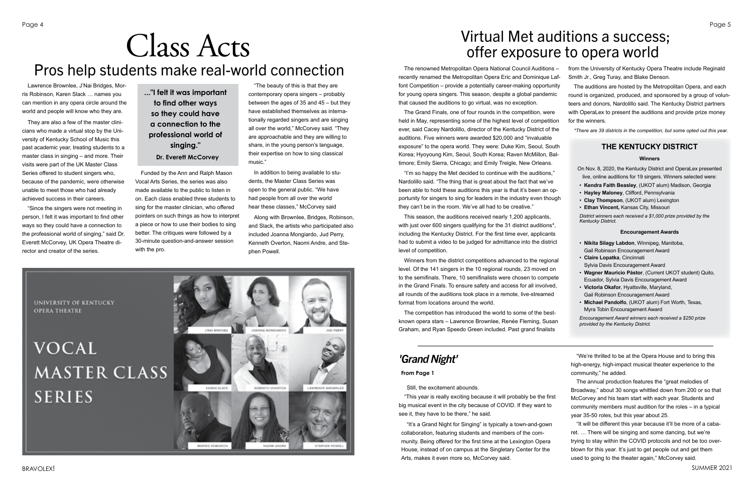Still, the excitement abounds.

"This year is really exciting because it will probably be the first big musical event in the city because of COVID. If they want to see it, they have to be there," he said.

"It's a Grand Night for Singing" is typically a town-and-gown collaboration, featuring students and members of the community. Being offered for the first time at the Lexington Opera House, instead of on campus at the Singletary Center for the Arts, makes it even more so, McCorvey said.

**OPERA THEATRE** 

"We're thrilled to be at the Opera House and to bring this high-energy, high-impact musical theater experience to the community," he added.

The annual production features the "great melodies of Broadway," about 30 songs whittled down from 200 or so that McCorvey and his team start with each year. Students and community members must audition for the roles – in a typical year 35-50 roles, but this year about 25.

"It will be different this year because it'll be more of a cabaret. … There will be singing and some dancing, but we're trying to stay within the COVID protocols and not be too overblown for this year. It's just to get people out and get them used to going to the theater again," McCorvey said.

Lawrence Brownlee, J'Nai Bridges, Morris Robinson, Karen Slack … names you can mention in any opera circle around the world and people will know who they are.

They are also a few of the master clinicians who made a virtual stop by the University of Kentucky School of Music this past academic year, treating students to a master class in singing – and more. Their visits were part of the UK Master Class Series offered to student singers who, because of the pandemic, were otherwise unable to meet those who had already achieved success in their careers.

"Since the singers were not meeting in person, I felt it was important to find other ways so they could have a connection to the professional world of singing," said Dr. Everett McCorvey, UK Opera Theatre director and creator of the series.

The Grand Finals, one of four rounds in the competition, were held in May, representing some of the highest level of competition ever, said Cacey Nardolillo, director of the Kentucky District of auditions. Five winners were awarded \$20,000 and "invaluable exposure" to the opera world. They were: Duke Kim, Seoul, Southern Korea; Hyoyoung Kim, Seoul, South Korea; Raven McMillon, B timore; Emily Sierra, Chicago; and Emily Treigle, New Orleans.

"I'm so happy the Met decided to continue with the auditions, Nardolillo said. "The thing that is great about the fact that we've been able to hold these auditions this year is that it's been an o portunity for singers to sing for leaders in the industry even thought they can't be in the room. We've all had to be creative."

# Class Acts Pros help students make real-world connection

Funded by the Ann and Ralph Mason Vocal Arts Series, the series was also made available to the public to listen in on. Each class enabled three students to sing for the master clinician, who offered pointers on such things as how to interpret a piece or how to use their bodies to sing better. The critiques were followed by a 30-minute question-and-answer session with the pro.

> Winners from the district competitions advanced to the region level. Of the 141 singers in the 10 regional rounds, 23 moved on to the semifinals. There, 10 semifinalists were chosen to competent in the Grand Finals. To ensure safety and access for all involve all rounds of the auditions took place in a remote, live-streamed format from locations around the world.

> The competition has introduced the world to some of the bestknown opera stars - Lawrence Brownlee, Renée Fleming, Susan Graham, and Ryan Speedo Green included. Past grand finalist

"The beauty of this is that they are contemporary opera singers – probably between the ages of 35 and 45 – but they have established themselves as internationally regarded singers and are singing all over the world," McCorvey said. "They are approachable and they are willing to share, in the young person's language, their expertise on how to sing classical music."

In addition to being available to students, the Master Class Series was open to the general public. "We have had people from all over the world hear these classes," McCorvey said

Along with Brownlee, Bridges, Robinson, and Slack, the artists who participated also included Joanna Mongiardo, Jud Perry, Kenneth Overton, Naomi Andre, and Stephen Powell.



## *'Grand Night'*

**..."I felt it was important to find other ways so they could have a connection to the professional world of singing." Dr. Everett McCorvey**

The renowned Metropolitan Opera National Council Auditions – recently renamed the Metropolitan Opera Eric and Dominique L font Competition – provide a potentially career-making opportur for young opera singers. This season, despite a global pandem that caused the auditions to go virtual, was no exception.

This season, the auditions received nearly 1,200 applicants, with just over 600 singers qualifying for the 31 district auditions<sup>\*</sup> including the Kentucky District. For the first time ever, applicant had to submit a video to be judged for admittance into the distri level of competition.

# Virtual Met auditions a success; offer exposure to opera world

| $s -$<br>_af-                                       | from the University of Kentucky Opera Theatre include Reginald<br>Smith Jr., Greg Turay, and Blake Denson.                                                                                                                                                                                                                                                                                                                                                                                                                              |
|-----------------------------------------------------|-----------------------------------------------------------------------------------------------------------------------------------------------------------------------------------------------------------------------------------------------------------------------------------------------------------------------------------------------------------------------------------------------------------------------------------------------------------------------------------------------------------------------------------------|
| nity<br>ıic<br>е<br>ion                             | The auditions are hosted by the Metropolitan Opera, and each<br>round is organized, produced, and sponsored by a group of volun-<br>teers and donors, Nardolillo said. The Kentucky District partners<br>with OperaLex to present the auditions and provide prize money<br>for the winners.                                                                                                                                                                                                                                             |
| the                                                 | *There are 39 districts in the competition, but some opted out this year.                                                                                                                                                                                                                                                                                                                                                                                                                                                               |
| uth                                                 | THE KENTUCKY DISTRICT                                                                                                                                                                                                                                                                                                                                                                                                                                                                                                                   |
| al-                                                 | Winners                                                                                                                                                                                                                                                                                                                                                                                                                                                                                                                                 |
| ,,<br>$\cdot$<br>p-<br>ugh                          | On Nov. 8, 2020, the Kentucky District and OperaLex presented<br>live, online auditions for 19 singers. Winners selected were:<br>• Kendra Faith Beasley, (UKOT alum) Madison, Georgia<br>• Hayley Maloney, Clifford, Pennsylvania<br>• Clay Thompson, (UKOT alum) Lexington<br>• Ethan Vincent, Kansas City, Missouri<br>District winners each received a \$1,000 prize provided by the<br>Kentucky District.                                                                                                                          |
| .s                                                  | <b>Encouragement Awards</b>                                                                                                                                                                                                                                                                                                                                                                                                                                                                                                             |
| ict<br>nal<br>'n<br>∋te<br>d,<br>ı<br>t-<br>an<br>s | · Nikita Silagy Labdon, Winnipeg, Manitoba,<br>Gail Robinson Encouragement Award<br>• Claire Lopatka, Cincinnati<br>Sylvia Davis Encouragement Award<br>• Wagner Mauricio Pástor, (Current UKOT student) Quito,<br>Ecuador, Sylvia Davis Encouragement Award<br>• Victoria Okafor, Hyattsville, Maryland,<br>Gail Robinson Encouragement Award<br>• Michael Pandolfo, (UKOT alum) Fort Worth, Texas,<br>Myra Tobin Encouragement Award<br>Encouragement Award winners each received a \$250 prize<br>provided by the Kentucky District. |

**From Page 1**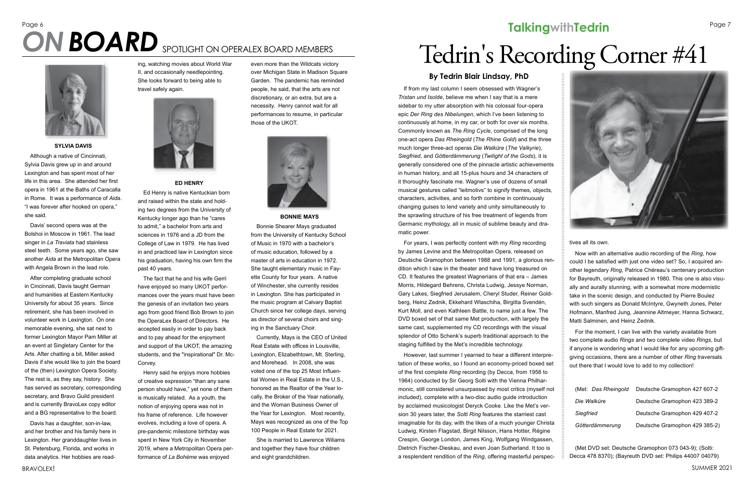If from my last column I seem obsessed with Wagner's *Tristan und Isolde*, believe me when I say that is a mere sidebar to my utter absorption with his colossal four-opera epic *Der Ring des Nibelungen*, which I've been listening to continuously at home, in my car, or both for over six months. Commonly known as *The Ring Cycle*, comprised of the long one-act opera *Das Rheingold* (*The Rhine Gold*) and the three much longer three-act operas *Die Walküre* (*The Valkyrie*), *Siegfried*, and *Götterdämmerung* (*Twilight of the Gods*), it is generally considered one of the pinnacle artistic achievements in human history, and all 15-plus hours and 34 characters of it thoroughly fascinate me. Wagner's use of dozens of small musical gestures called "leitmotivs" to signify themes, objects, characters, activities, and so forth combine in continuously changing guises to lend variety and unity simultaneously to the sprawling structure of his free treatment of legends from Germanic mythology, all in music of sublime beauty and dramatic power.

For years, I was perfectly content with my *Ring* recording by James Levine and the Metropolitan Opera, released on Deutsche Gramophon between 1988 and 1991, a glorious rendition which I saw in the theater and have long treasured on CD. It features the greatest Wagnerians of that era – James Morris, Hildegard Behrens, Christa Ludwig, Jessye Norman, Gary Lakes, Siegfried Jerusalem, Cheryl Studer, Reiner Goldberg, Heinz Zednik, Ekkehard Wlaschiha, Birgitta Svendén, Kurt Moll, and even Kathleen Battle, to name just a few. The DVD boxed set of that same Met production, with largely the same cast, supplemented my CD recordings with the visual splendor of Otto Schenk's superb traditional approach to the staging fulfilled by the Met's incredible technology.

However, last summer I yearned to hear a different interpretation of these works, so I found an economy-priced boxed set of the first complete *Ring* recording (by Decca, from 1958 to 1964) conducted by Sir Georg Solti with the Vienna Philharmonic, still considered unsurpassed by most critics (myself not included), complete with a two-disc audio guide introduction by acclaimed musicologist Deryck Cooke. Like the Met's version 30 years later, the *Solti Ring* features the starriest cast imaginable for its day, with the likes of a much younger Christa Ludwig, Kirsten Flagstad, Birgit Nilsson, Hans Hotter, Régine Crespin, George London, James King, Wolfgang Windgassen, Dietrich Fischer-Dieskau, and even Joan Sutherland. It too is a resplendent rendition of the *Ring*, offering masterful perspec-





#### tives all its own.

Now with an alternative audio recording of the *Ring*, how could I be satisfied with just one video set? So, I acquired another legendary *Ring*, Patrice Chéreau's centenary production for Bayreuth, originally released in 1980. This one is also visually and aurally stunning, with a somewhat more modernistic take in the scenic design, and conducted by Pierre Boulez with such singers as Donald McIntyre, Gwyneth Jones, Peter Hofmann, Manfred Jung, Jeannine Altmeyer, Hanna Schwarz, Matti Salminen, and Heinz Zednik.

For the moment, I can live with the variety available from two complete audio *Rings* and two complete video *Rings*, but if anyone is wondering what I would like for any upcoming giftgiving occasions, there are a number of other *Ring* traversals out there that I would love to add to my collection!

| (Met: Das Rheingold | Deutsche Gramophon 427 607-2  |
|---------------------|-------------------------------|
| Die Walküre         | Deutsche Gramophon 423 389-2  |
| Siegfried           | Deutsche Gramophon 429 407-2  |
| Götterdämmerung     | Deutsche Gramophon 429 385-2) |

(Met DVD set: Deutsche Gramophon 073 043-9); (Solti: Decca 478 8370); (Bayreuth DVD set: Philips 44007 04079)

### **By Tedrin Blair Lindsay, PhD**

# Page 6 **Page 1 Page 7** Page 7 **Talking with Tedrin** Page 7 **ON BOARD** SPOTLIGHT ON OPERALEX BOARD MEMBERS **Corner and Corner Alex Board Member**<br> *BOARD* SPOTLIGHT ON OPERALEX BOARD MEMBERS *BOARD MEMBERS BOARD MEMBERS BOARD MEMBERS BOARD MEMBERS BOARD MEMBERS Books (scho*

### **SYLVIA DAVIS**

Although a native of Cincinnati, Sylvia Davis grew up in and around Lexington and has spent most of her life in this area. She attended her first opera in 1961 at the Baths of Caracalla in Rome. It was a performance of *Aida*. "I was forever after hooked on opera," she said.

Davis' second opera was at the Bolshoi in Moscow in 1961. The lead singer in *La Traviata* had stainless steel teeth. Some years ago, she saw another *Aida* at the Metropolitan Opera with Angela Brown in the lead role.

After completing graduate school in Cincinnati, Davis taught German and humanities at Eastern Kentucky University for about 35 years. Since retirement, she has been involved in volunteer work in Lexington. On one memorable evening, she sat next to former Lexington Mayor Pam Miller at an event at Singletary Center for the Arts. After chatting a bit, Miller asked Davis if she would like to join the board of the (then) Lexington Opera Society. The rest is, as they say, history. She has served as secretary, corresponding secretary, and Bravo Guild president and is currently BravoLex copy editor and a BG representative to the board.

Davis has a daughter, son-in-law, and her brother and his family here in Lexington. Her granddaughter lives in St. Petersburg, Florida, and works in data analytics. Her hobbies are reading, watching movies about World War II, and occasionally needlepointing. She looks forward to being able to travel safely again.



**ED HENRY**

Ed Henry is native Kentuckian born and raised within the state and holding two degrees from the University of Kentucky longer ago than he "cares to admit," a bachelor from arts and sciences in 1976 and a JD from the College of Law in 1979. He has lived in and practiced law in Lexington since his graduation, having his own firm the past 40 years.

The fact that he and his wife Gerri have enjoyed so many UKOT performances over the years must have been the genesis of an invitation two years ago from good friend Bob Brown to join the OperaLex Board of Directors. He accepted easily in order to pay back and to pay ahead for the enjoyment and support of the UKOT, the amazing students, and the "inspirational" Dr. Mc-Corvey.

Henry said he enjoys more hobbies of creative expression "than any sane person should have," yet none of them is musically related. As a youth, the notion of enjoying opera was not in his frame of reference. Life however evolves, including a love of opera. A pre-pandemic milestone birthday was spent in New York City in November 2019, where a Metropolitan Opera performance of *La Bohème* was enjoyed

even more than the Wildcats victory over Michigan State in Madison Square Garden. The pandemic has reminded people, he said, that the arts are not discretionary, or an extra, but are a necessity. Henry cannot wait for all performances to resume, in particular those of the UKOT.



**BONNIE MAYS**

Bonnie Shearer Mays graduated from the University of Kentucky School of Music in 1970 with a bachelor's of music education, followed by a master of arts in education in 1972. She taught elementary music in Fayette County for four years. A native of Winchester, she currently resides in Lexington. She has participated in the music program at Calvary Baptist Church since her college days, serving as director of several choirs and singing in the Sanctuary Choir.

Currently, Mays is the CEO of United Real Estate with offices in Louisville, Lexington, Elizabethtown, Mt. Sterling, and Morehead. In 2008, she was voted one of the top 25 Most Influential Women in Real Estate in the U.S., honored as the Realtor of the Year locally, the Broker of the Year nationally, and the Woman Business Owner of the Year for Lexington. Most recently, Mays was recognized as one of the Top 100 People in Real Estate for 2021.

She is married to Lawrence Wiliams and together they have four children and eight grandchildren.